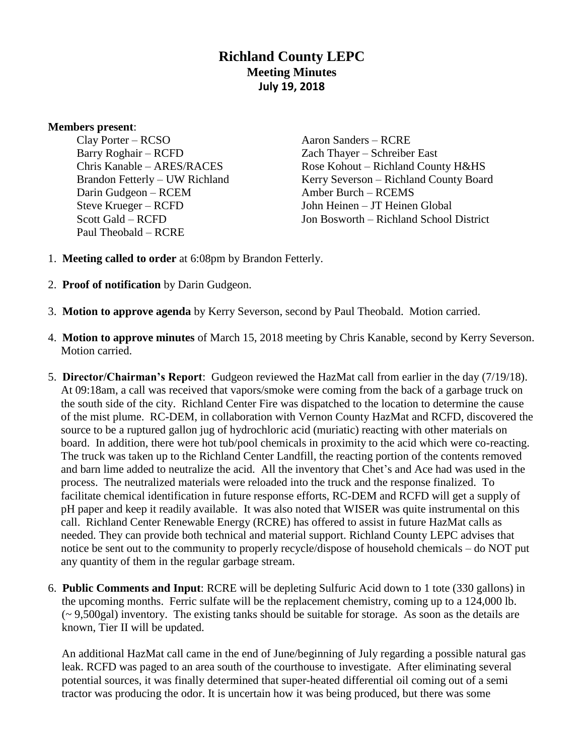# **Richland County LEPC Meeting Minutes July 19, 2018**

#### **Members present**:

Clay Porter – RCSO Barry Roghair – RCFD Chris Kanable – ARES/RACES Brandon Fetterly – UW Richland Darin Gudgeon – RCEM Steve Krueger – RCFD Scott Gald – RCFD Paul Theobald – RCRE

Aaron Sanders – RCRE Zach Thayer – Schreiber East Rose Kohout – Richland County H&HS Kerry Severson – Richland County Board Amber Burch – RCEMS John Heinen – JT Heinen Global Jon Bosworth – Richland School District

- 1. **Meeting called to order** at 6:08pm by Brandon Fetterly.
- 2. **Proof of notification** by Darin Gudgeon.
- 3. **Motion to approve agenda** by Kerry Severson, second by Paul Theobald. Motion carried.
- 4. **Motion to approve minutes** of March 15, 2018 meeting by Chris Kanable, second by Kerry Severson. Motion carried.
- 5. **Director/Chairman's Report**: Gudgeon reviewed the HazMat call from earlier in the day (7/19/18). At 09:18am, a call was received that vapors/smoke were coming from the back of a garbage truck on the south side of the city. Richland Center Fire was dispatched to the location to determine the cause of the mist plume. RC-DEM, in collaboration with Vernon County HazMat and RCFD, discovered the source to be a ruptured gallon jug of hydrochloric acid (muriatic) reacting with other materials on board. In addition, there were hot tub/pool chemicals in proximity to the acid which were co-reacting. The truck was taken up to the Richland Center Landfill, the reacting portion of the contents removed and barn lime added to neutralize the acid. All the inventory that Chet's and Ace had was used in the process. The neutralized materials were reloaded into the truck and the response finalized. To facilitate chemical identification in future response efforts, RC-DEM and RCFD will get a supply of pH paper and keep it readily available. It was also noted that WISER was quite instrumental on this call. Richland Center Renewable Energy (RCRE) has offered to assist in future HazMat calls as needed. They can provide both technical and material support. Richland County LEPC advises that notice be sent out to the community to properly recycle/dispose of household chemicals – do NOT put any quantity of them in the regular garbage stream.
- 6. **Public Comments and Input**: RCRE will be depleting Sulfuric Acid down to 1 tote (330 gallons) in the upcoming months. Ferric sulfate will be the replacement chemistry, coming up to a 124,000 lb.  $\sim$  9,500gal) inventory. The existing tanks should be suitable for storage. As soon as the details are known, Tier II will be updated.

An additional HazMat call came in the end of June/beginning of July regarding a possible natural gas leak. RCFD was paged to an area south of the courthouse to investigate. After eliminating several potential sources, it was finally determined that super-heated differential oil coming out of a semi tractor was producing the odor. It is uncertain how it was being produced, but there was some